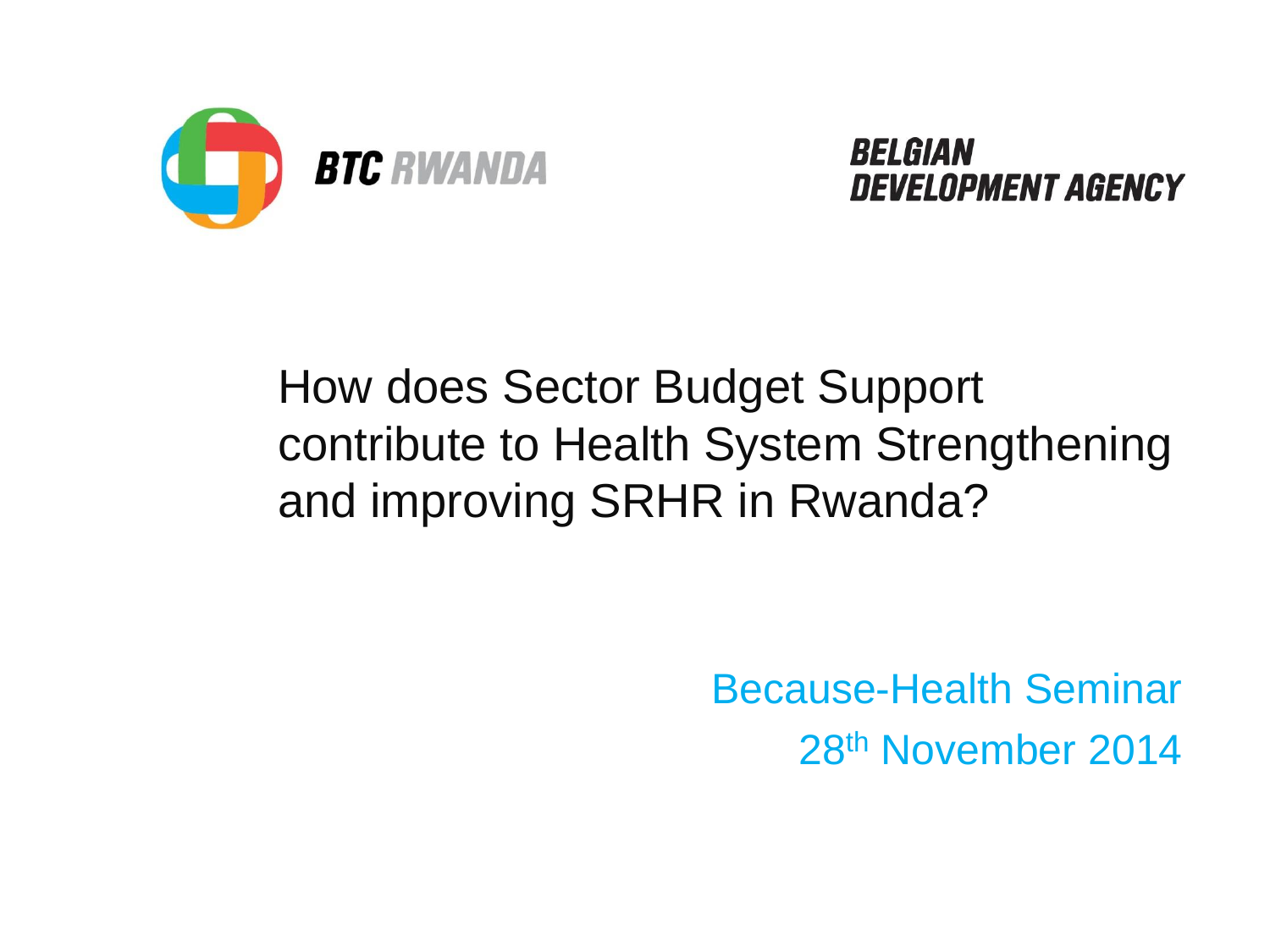

**RELGIAN DEVELOPMENT AGENCY** 

### How does Sector Budget Support contribute to Health System Strengthening and improving SRHR in Rwanda?

Because-Health Seminar 28th November 2014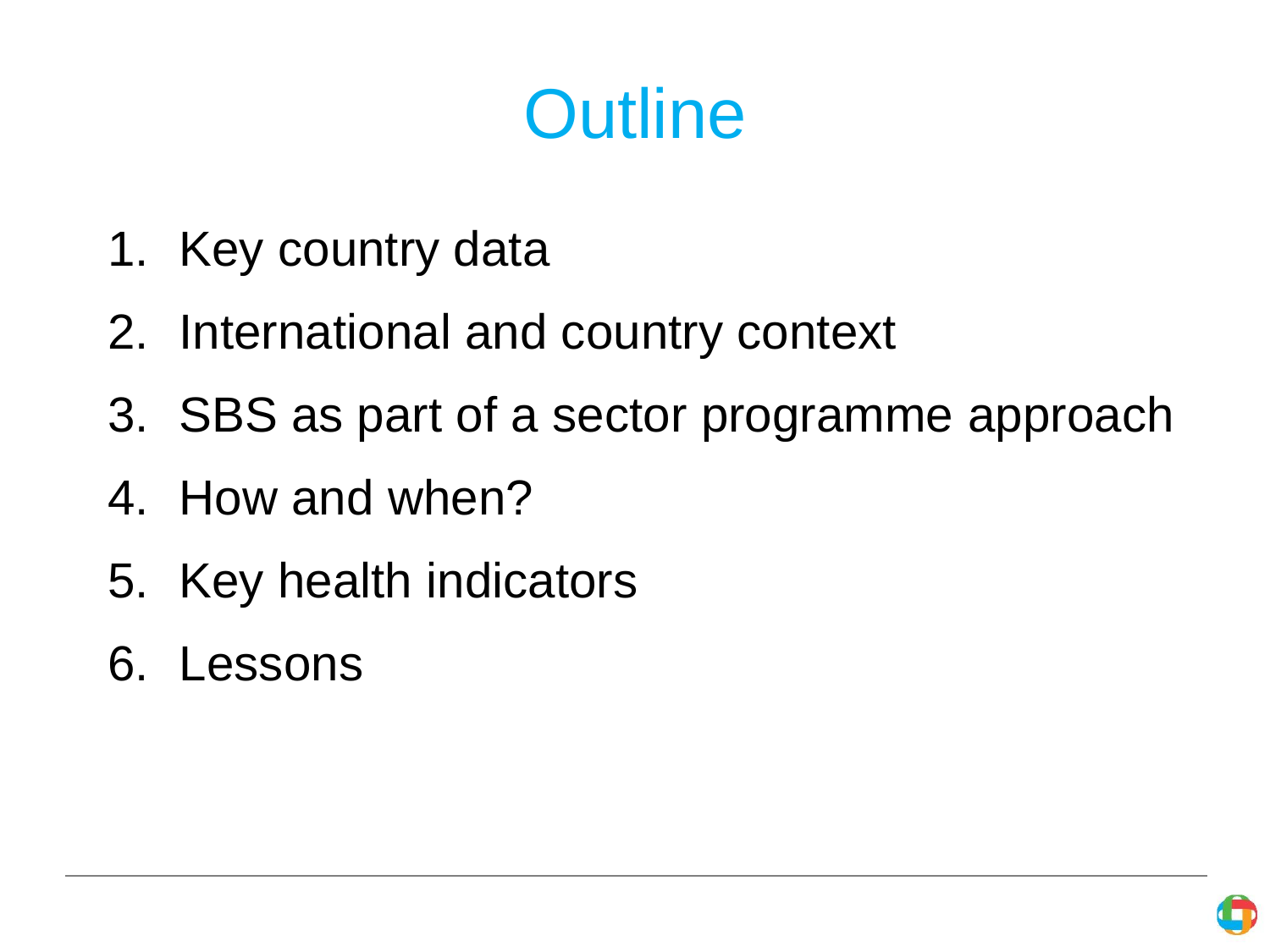# **Outline**

- 1. Key country data
- 2. International and country context
- 3. SBS as part of a sector programme approach
- 4. How and when?
- 5. Key health indicators
- 6. Lessons

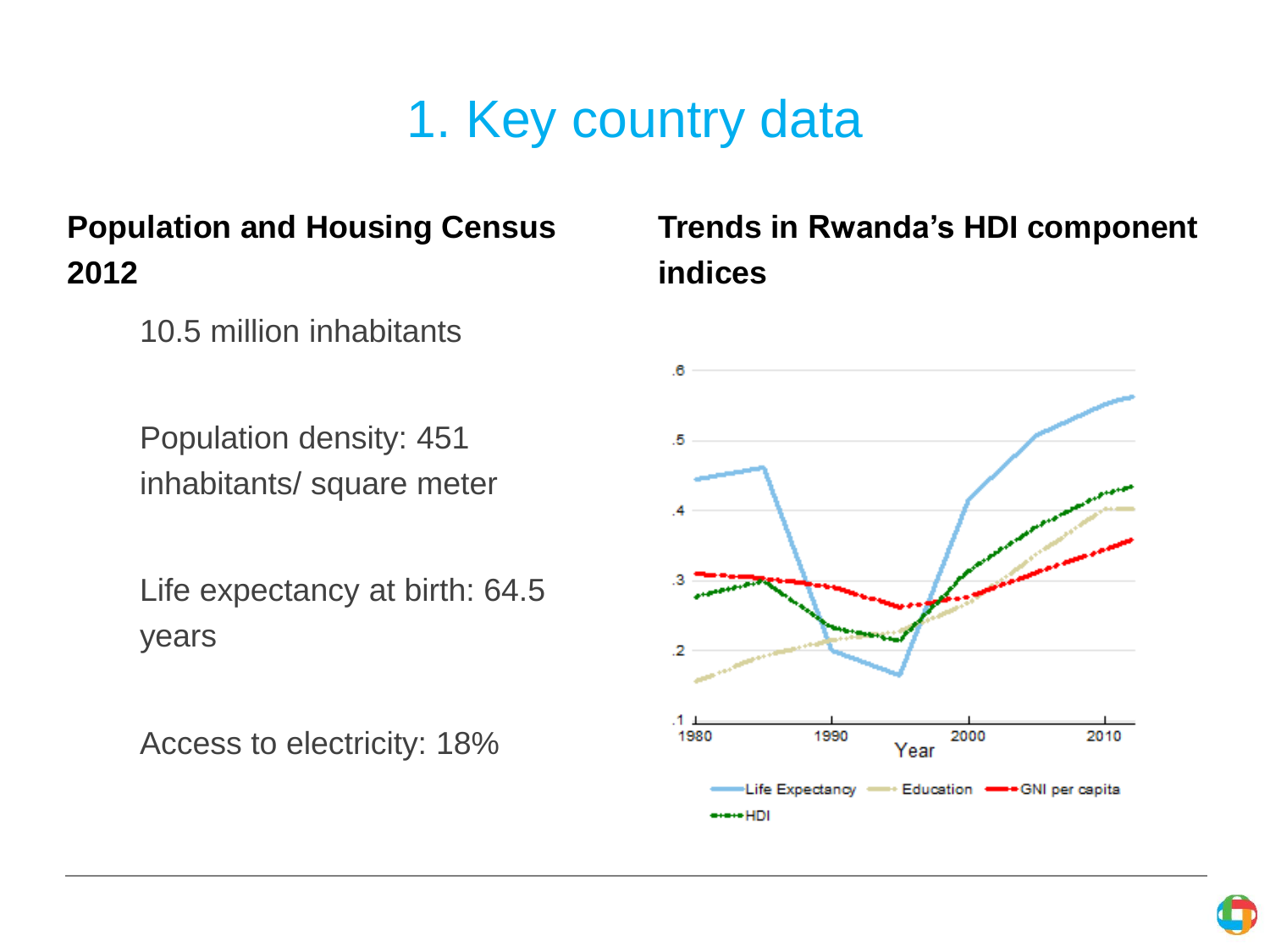# 1. Key country data

### **Population and Housing Census 2012**

10.5 million inhabitants

Population density: 451 inhabitants/ square meter

Life expectancy at birth: 64.5 years

Access to electricity: 18%

### **Trends in Rwanda's HDI component indices**



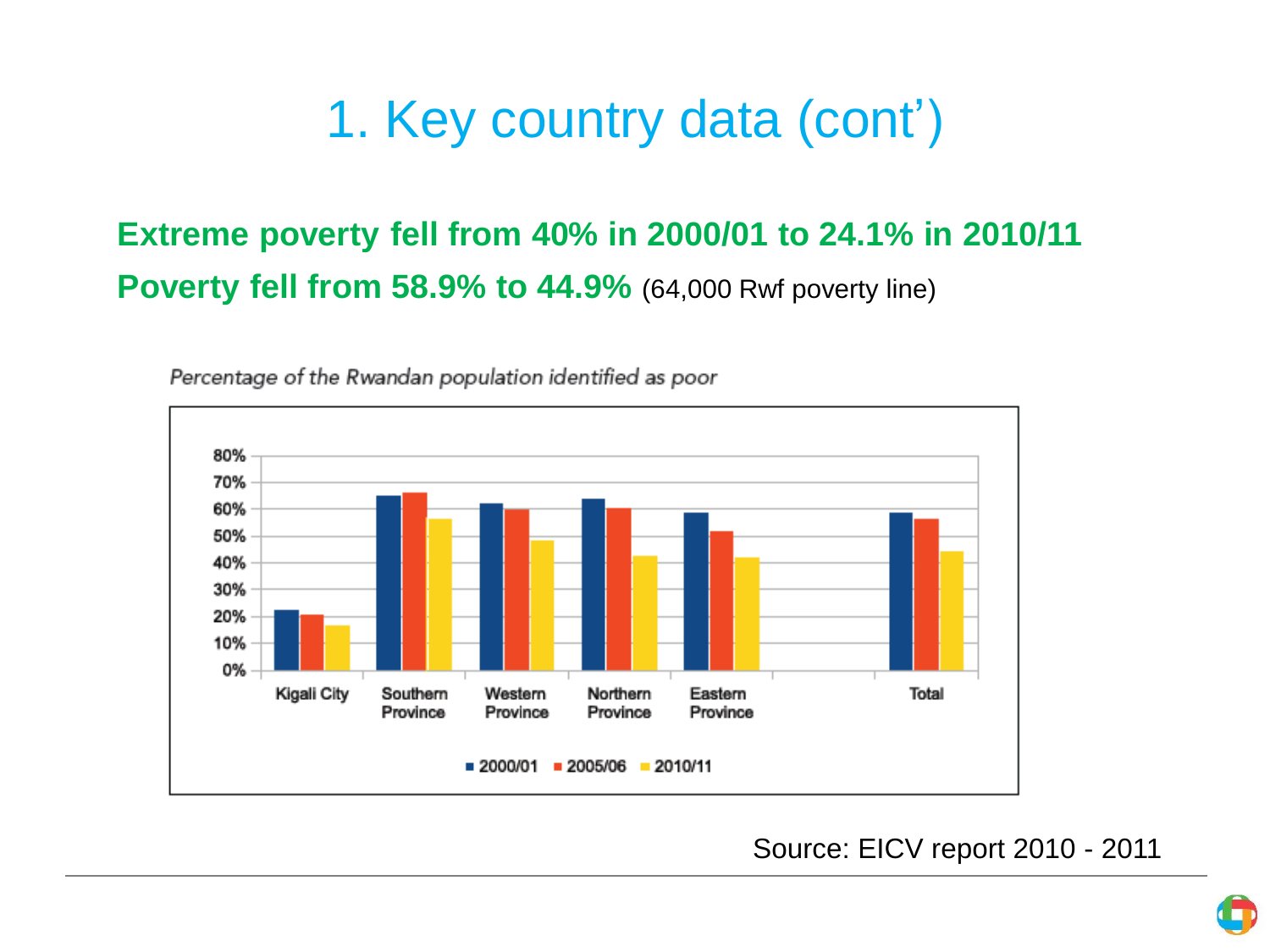# 1. Key country data (cont')

### **Extreme poverty fell from 40% in 2000/01 to 24.1% in 2010/11 Poverty fell from 58.9% to 44.9%** (64,000 Rwf poverty line)



Percentage of the Rwandan population identified as poor

Source: EICV report 2010 - 2011

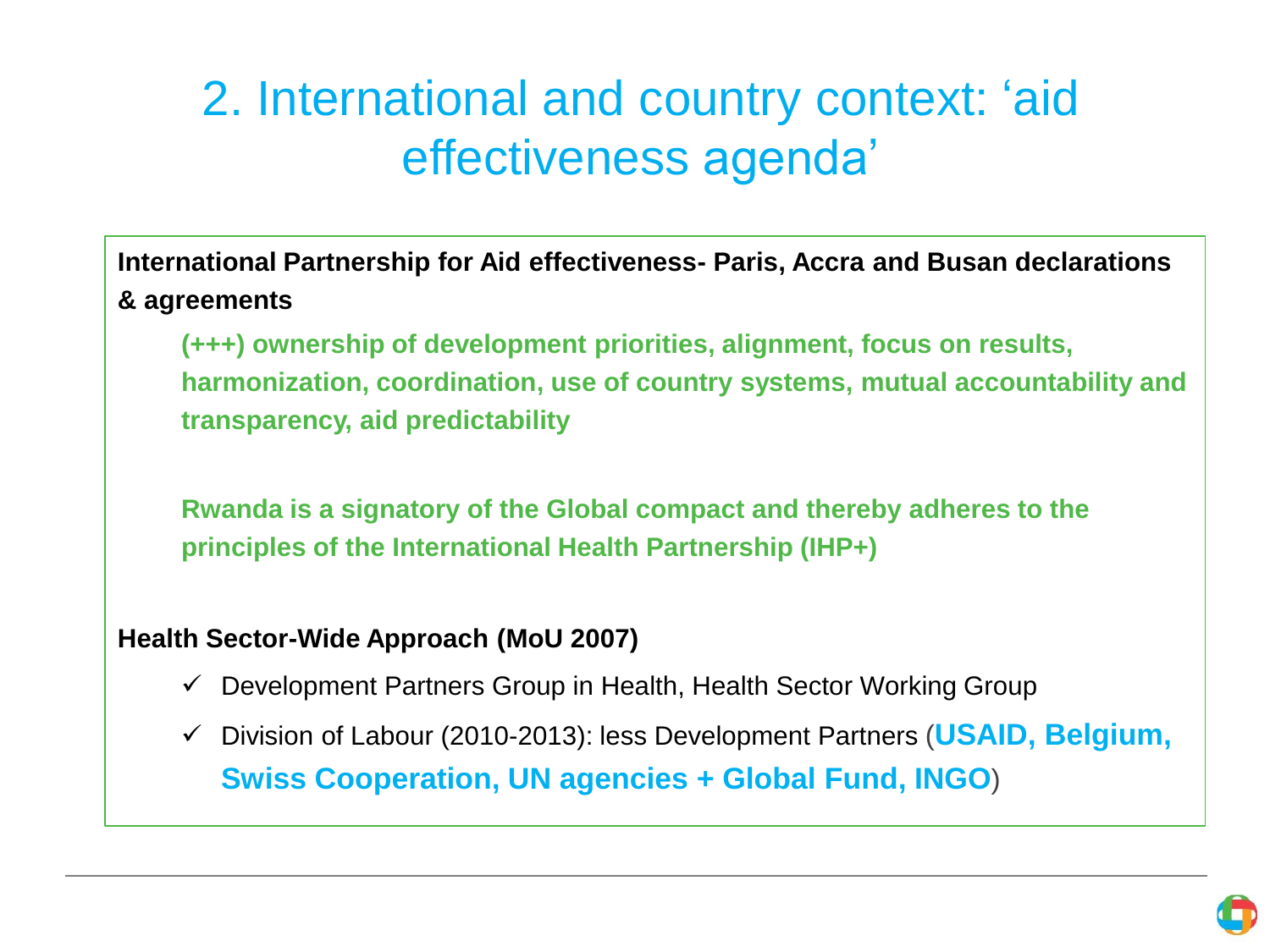# 2. International and country context: 'aid effectiveness agenda'

**International Partnership for Aid effectiveness- Paris, Accra and Busan declarations & agreements**

**(+++) ownership of development priorities, alignment, focus on results, harmonization, coordination, use of country systems, mutual accountability and transparency, aid predictability**

**Rwanda is a signatory of the Global compact and thereby adheres to the principles of the International Health Partnership (IHP+)** 

#### **Health Sector-Wide Approach (MoU 2007)**

- $\checkmark$  Development Partners Group in Health, Health Sector Working Group
- Division of Labour (2010-2013): less Development Partners (**USAID, Belgium, Swiss Cooperation, UN agencies + Global Fund, INGO**)

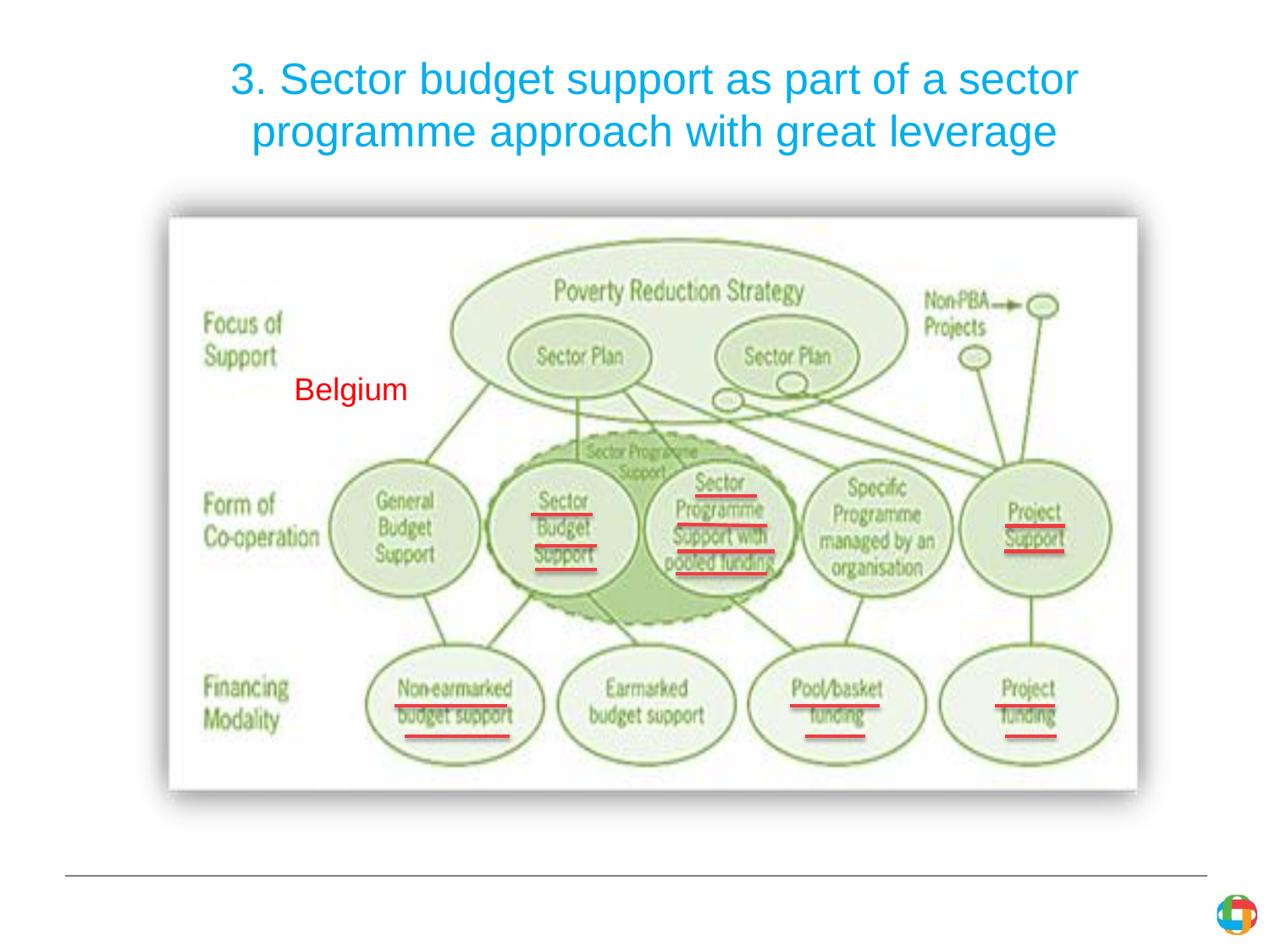### 3. Sector budget support as part of a sector programme approach with great leverage



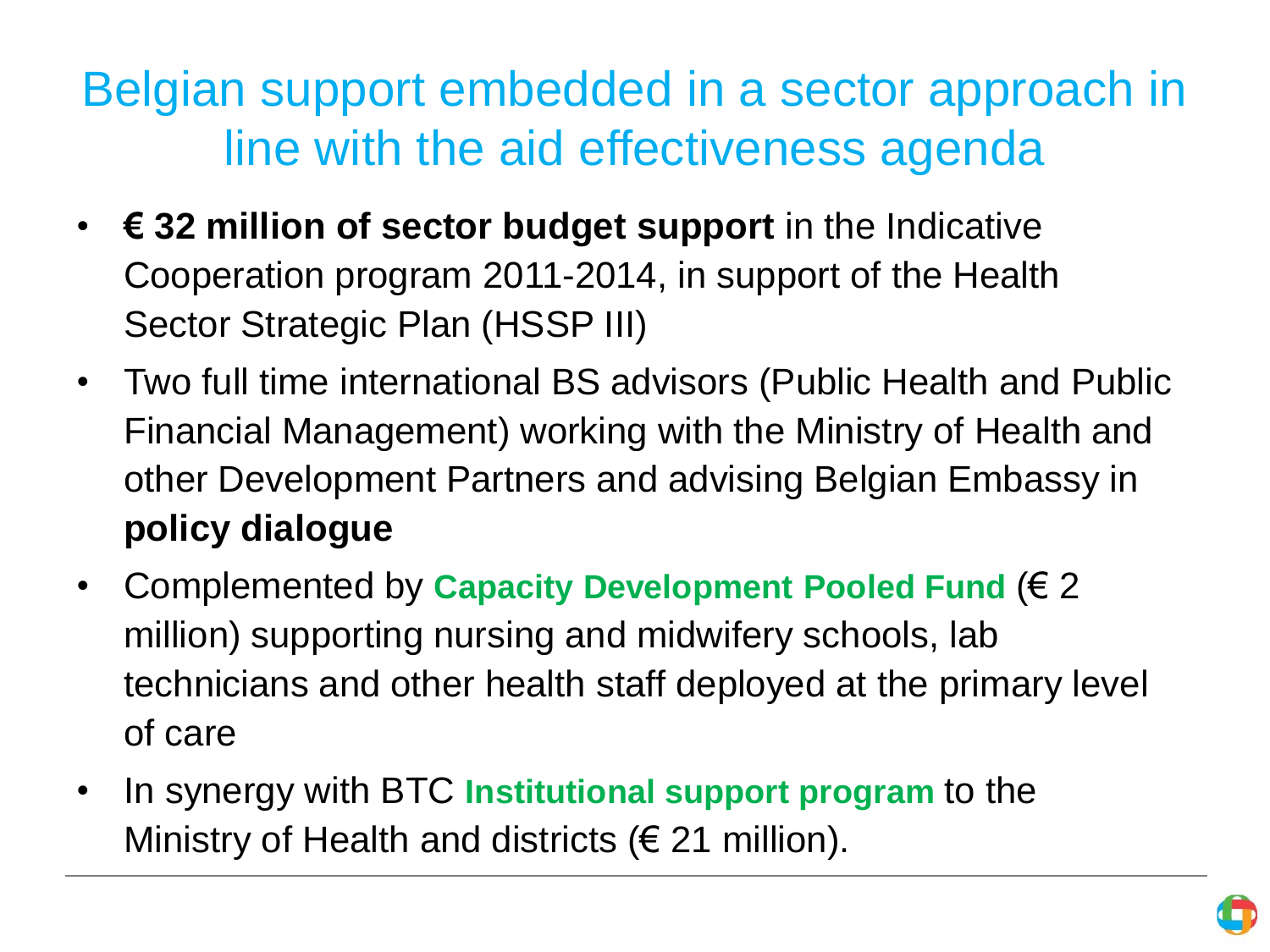# Belgian support embedded in a sector approach in line with the aid effectiveness agenda

- **€ 32 million of sector budget support** in the Indicative Cooperation program 2011-2014, in support of the Health Sector Strategic Plan (HSSP III)
- Two full time international BS advisors (Public Health and Public Financial Management) working with the Ministry of Health and other Development Partners and advising Belgian Embassy in **policy dialogue**
- Complemented by **Capacity Development Pooled Fund** (€ 2 million) supporting nursing and midwifery schools, lab technicians and other health staff deployed at the primary level of care
- In synergy with BTC **Institutional support program** to the Ministry of Health and districts ( $\epsilon$  21 million).

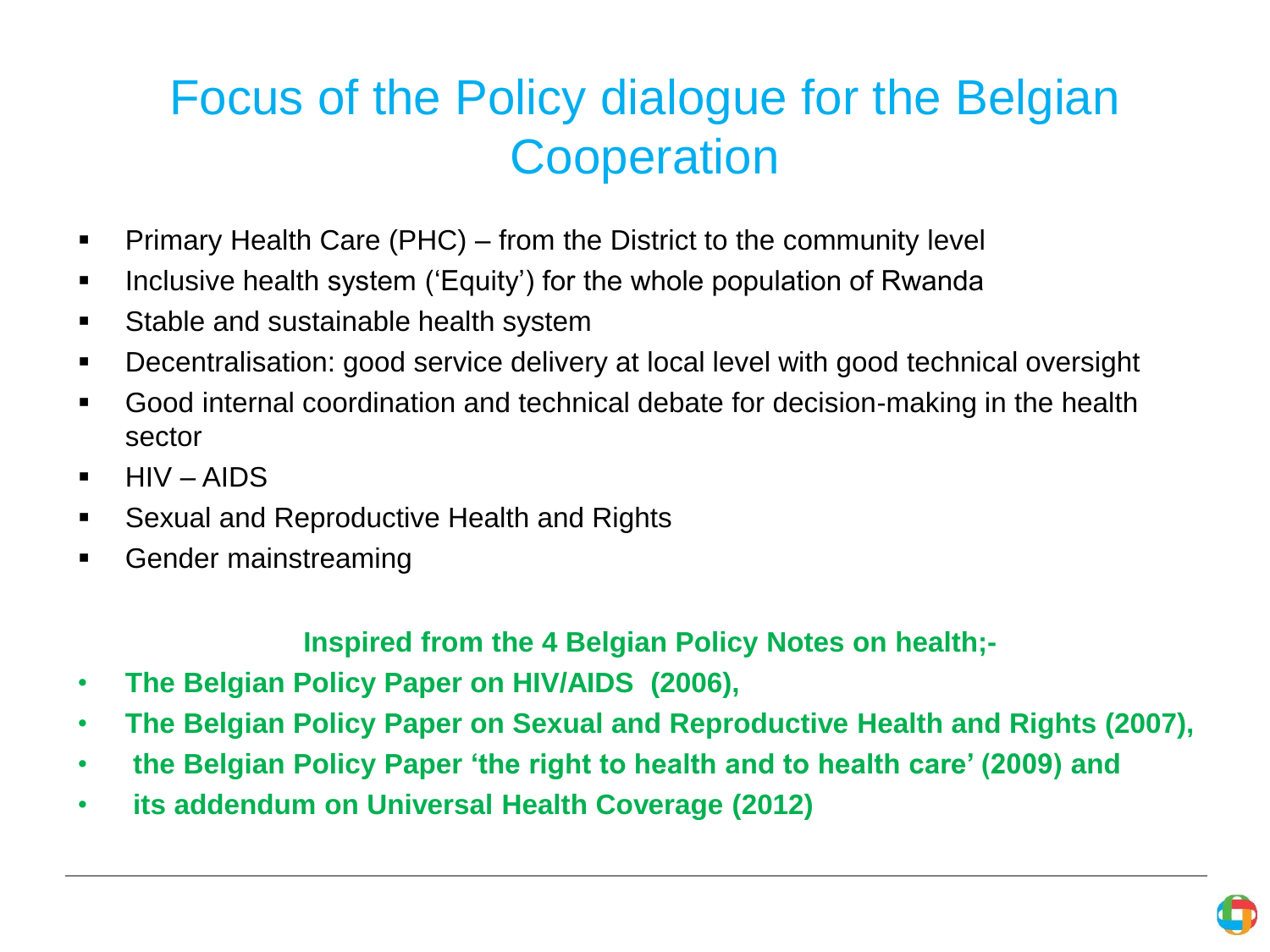# Focus of the Policy dialogue for the Belgian **Cooperation**

- **Primary Health Care (PHC) from the District to the community level**
- I Inclusive health system ('Equity') for the whole population of Rwanda
- **Stable and sustainable health system**
- Decentralisation: good service delivery at local level with good technical oversight
- Good internal coordination and technical debate for decision-making in the health sector
- HIV AIDS
- **Sexual and Reproductive Health and Rights**
- **Gender mainstreaming**

#### **Inspired from the 4 Belgian Policy Notes on health;-**

- **The Belgian Policy Paper on HIV/AIDS (2006),**
- **The Belgian Policy Paper on Sexual and Reproductive Health and Rights (2007),**
- **the Belgian Policy Paper 'the right to health and to health care' (2009) and**
- **its addendum on Universal Health Coverage (2012)**

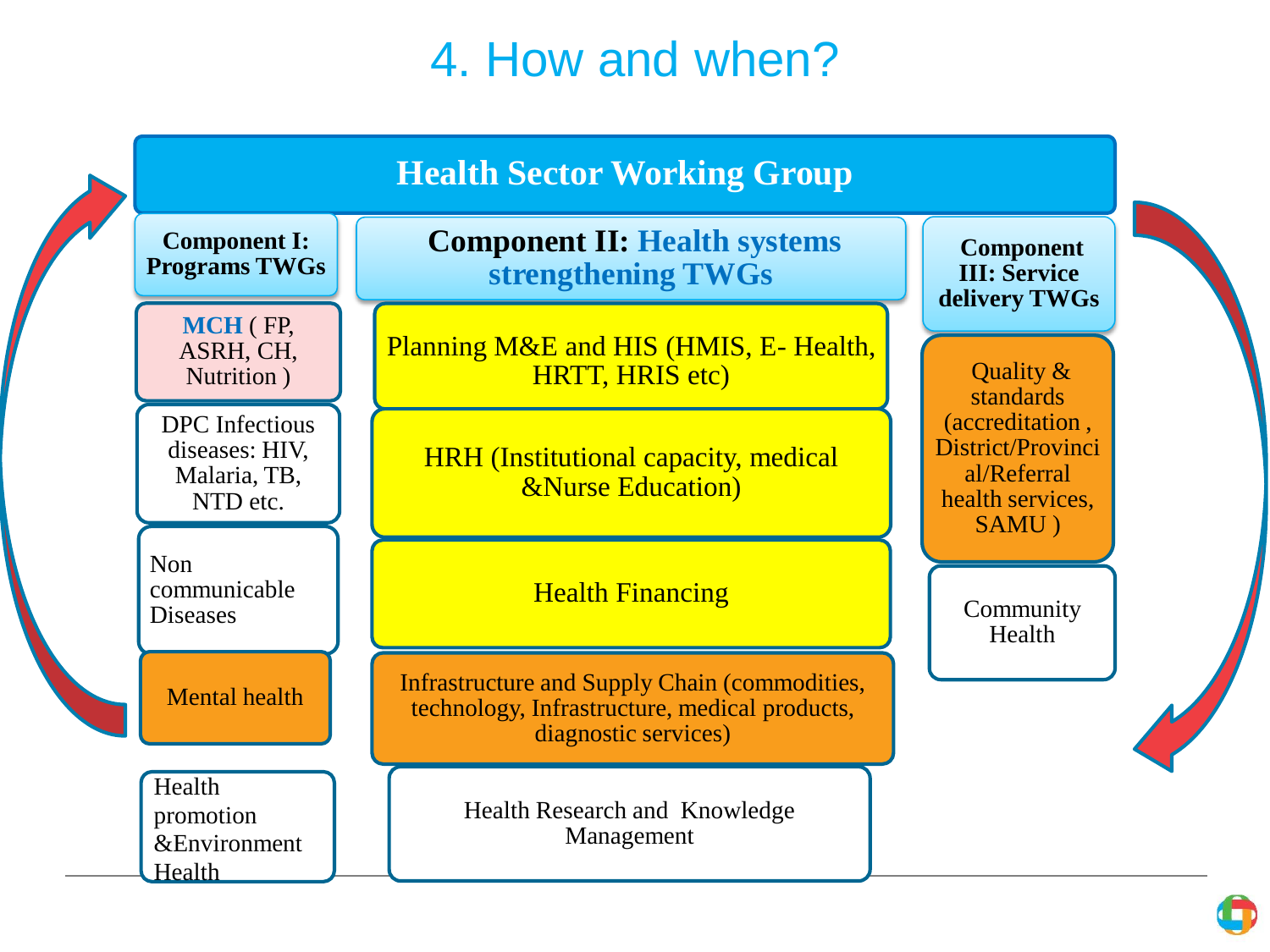### 4. How and when?

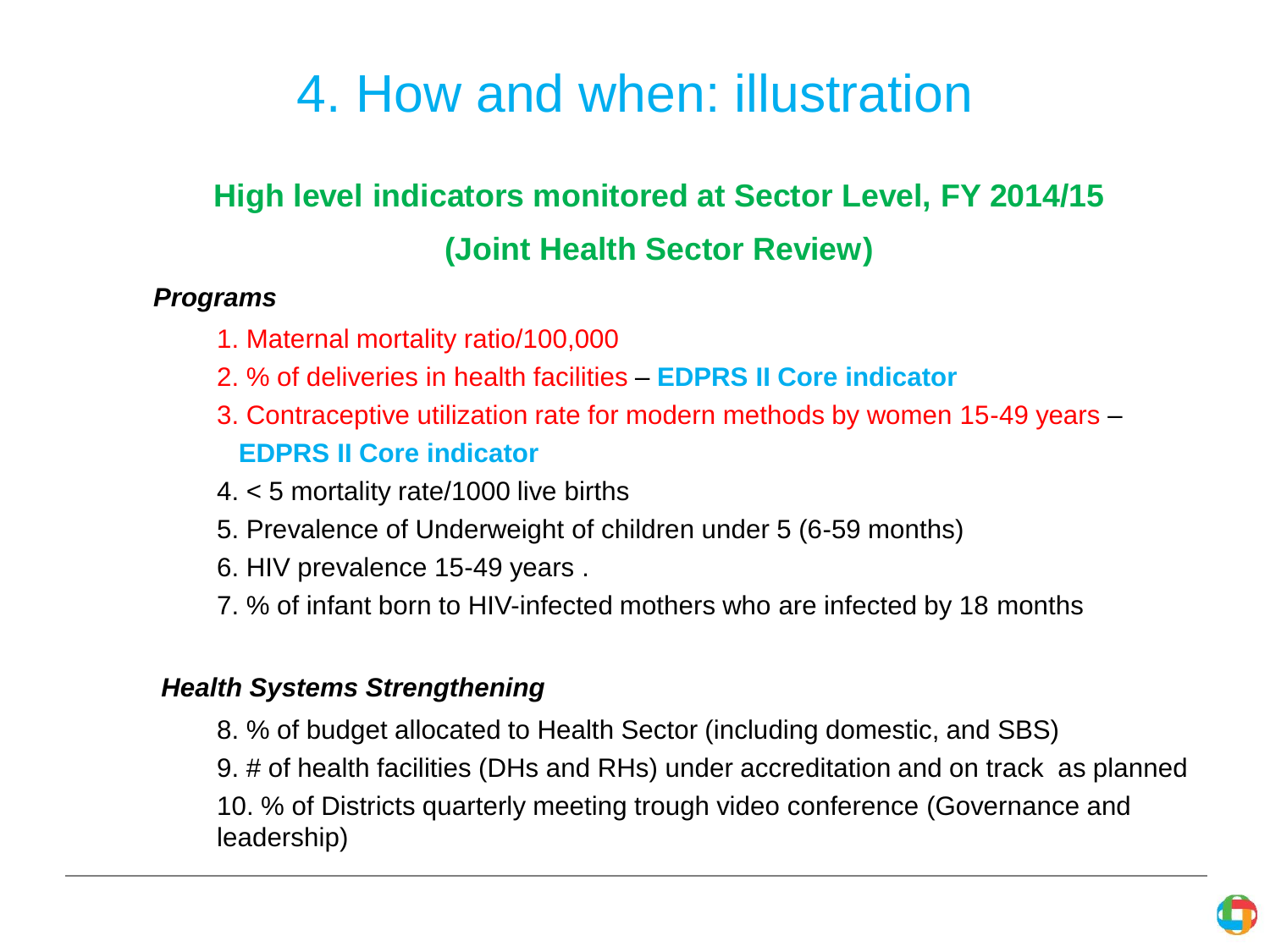# 4. How and when: illustration

### **High level indicators monitored at Sector Level, FY 2014/15**

### **(Joint Health Sector Review)**

#### *Programs*

- 1. Maternal mortality ratio/100,000
- 2. % of deliveries in health facilities **EDPRS II Core indicator**
- 3. Contraceptive utilization rate for modern methods by women 15-49 years  **EDPRS II Core indicator**
- 4. < 5 mortality rate/1000 live births
- 5. Prevalence of Underweight of children under 5 (6-59 months)
- 6. HIV prevalence 15-49 years .
- 7. % of infant born to HIV-infected mothers who are infected by 18 months

#### *Health Systems Strengthening*

8. % of budget allocated to Health Sector (including domestic, and SBS)

9. # of health facilities (DHs and RHs) under accreditation and on track as planned 10. % of Districts quarterly meeting trough video conference (Governance and leadership)

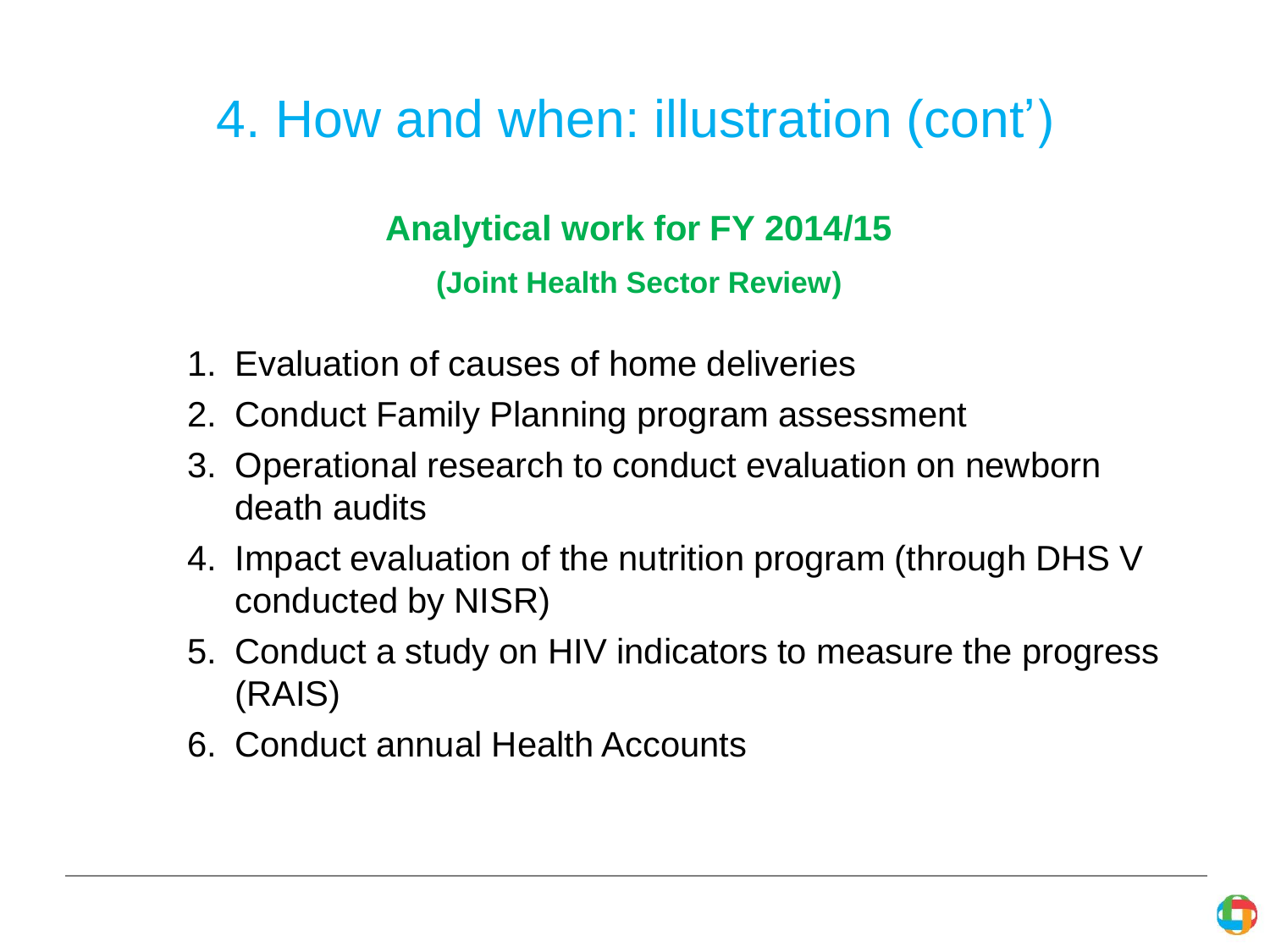# 4. How and when: illustration (cont')

### **Analytical work for FY 2014/15**

**(Joint Health Sector Review)**

- 1. Evaluation of causes of home deliveries
- 2. Conduct Family Planning program assessment
- 3. Operational research to conduct evaluation on newborn death audits
- 4. Impact evaluation of the nutrition program (through DHS V conducted by NISR)
- 5. Conduct a study on HIV indicators to measure the progress (RAIS)
- 6. Conduct annual Health Accounts

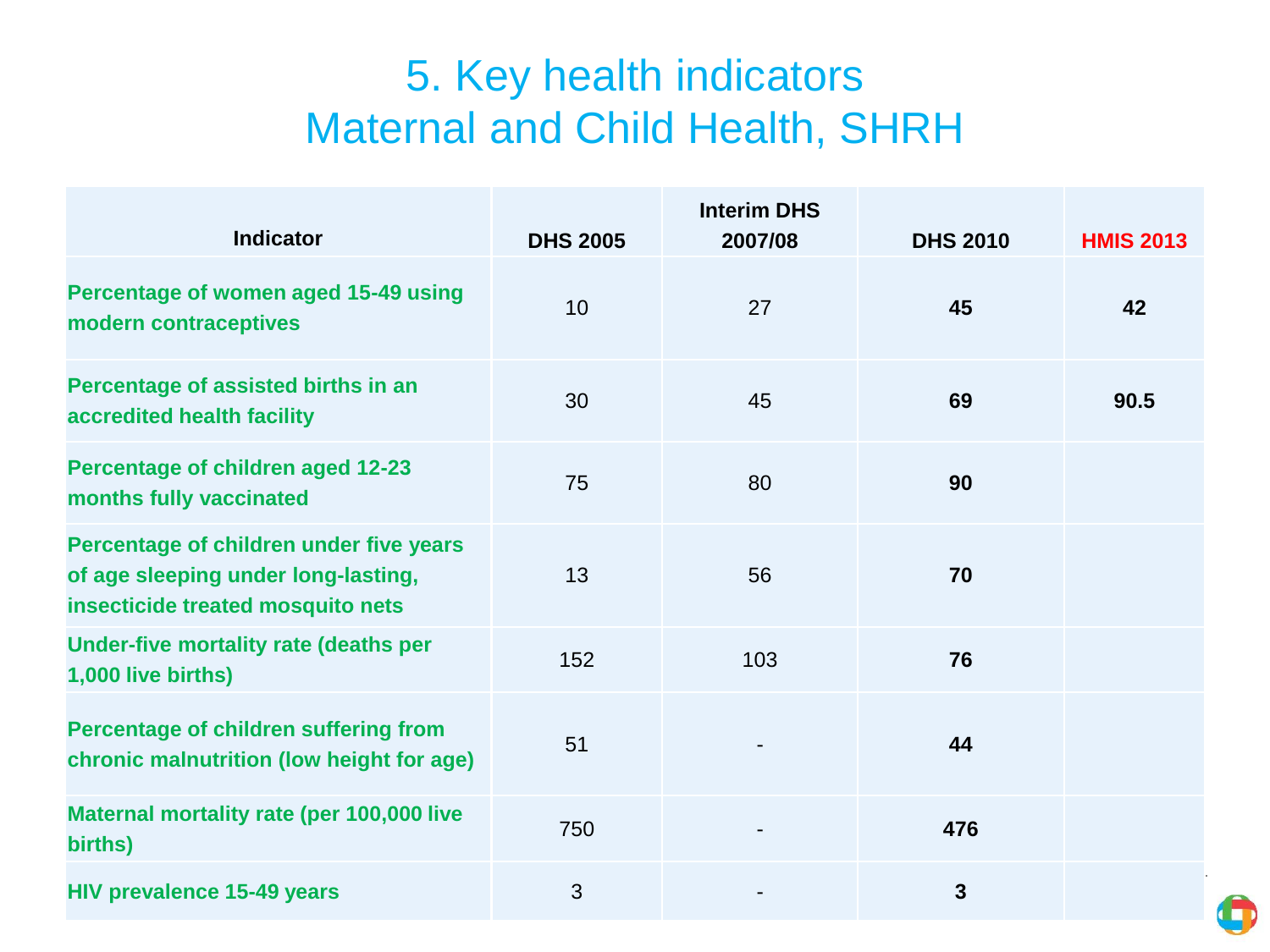### 5. Key health indicators Maternal and Child Health, SHRH

| <b>Indicator</b>                                                                                                    | <b>DHS 2005</b> | <b>Interim DHS</b><br>2007/08 | <b>DHS 2010</b> | <b>HMIS 2013</b> |
|---------------------------------------------------------------------------------------------------------------------|-----------------|-------------------------------|-----------------|------------------|
| Percentage of women aged 15-49 using<br>modern contraceptives                                                       | 10              | 27                            | 45              | 42               |
| Percentage of assisted births in an<br>accredited health facility                                                   | 30              | 45                            | 69              | 90.5             |
| Percentage of children aged 12-23<br>months fully vaccinated                                                        | 75              | 80                            | 90              |                  |
| Percentage of children under five years<br>of age sleeping under long-lasting,<br>insecticide treated mosquito nets | 13              | 56                            | 70              |                  |
| Under-five mortality rate (deaths per<br>1,000 live births)                                                         | 152             | 103                           | 76              |                  |
| Percentage of children suffering from<br>chronic malnutrition (low height for age)                                  | 51              |                               | 44              |                  |
| Maternal mortality rate (per 100,000 live<br>births)                                                                | 750             |                               | 476             |                  |
| <b>HIV prevalence 15-49 years</b>                                                                                   | 3               |                               | $\mathbf{3}$    |                  |